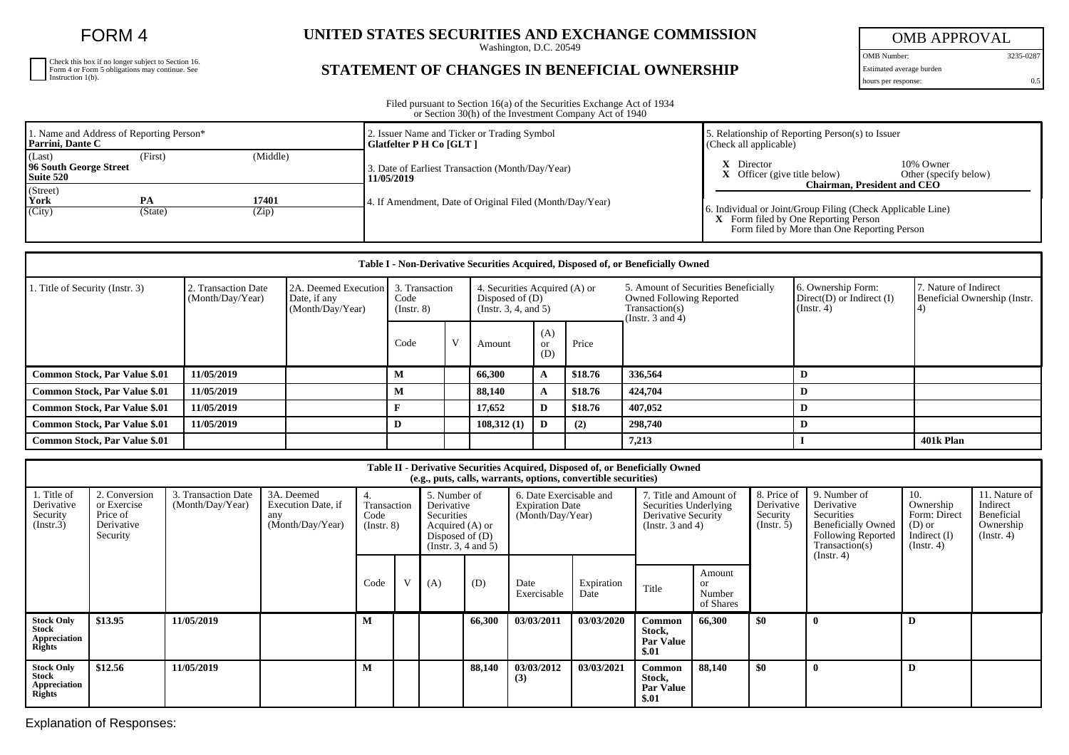FORM 4

| Check this box if no longer subject to Section 16.<br>Form 4 or Form 5 obligations may continue. See<br>Instruction 1(b). |
|---------------------------------------------------------------------------------------------------------------------------|
|                                                                                                                           |
|                                                                                                                           |

## **UNITED STATES SECURITIES AND EXCHANGE COMMISSION**

Washington, D.C. 20549

## **STATEMENT OF CHANGES IN BENEFICIAL OWNERSHIP**

OMB APPROVAL

OMB Number: 3235-0287 Estimated average burden hours per response: 0.5

Filed pursuant to Section 16(a) of the Securities Exchange Act of 1934 or Section 30(h) of the Investment Company Act of 1940

| 1. Name and Address of Reporting Person*<br>Parrini, Dante C         |         |          | 2. Issuer Name and Ticker or Trading Symbol<br>Glatfelter P H Co [GLT] | . Relationship of Reporting Person(s) to Issuer<br>(Check all applicable)                                          |  |  |  |
|----------------------------------------------------------------------|---------|----------|------------------------------------------------------------------------|--------------------------------------------------------------------------------------------------------------------|--|--|--|
| (Last)<br>96 South George Street<br>Suite 520                        | (First) | (Middle) | 3. Date of Earliest Transaction (Month/Day/Year)<br>11/05/2019         | 10% Owner<br>Director<br>Other (specify below)<br>Officer (give title below)<br><b>Chairman, President and CEO</b> |  |  |  |
| (Street)<br>York<br><b>PA</b><br>17401<br>(City)<br>(Zip)<br>(State) |         |          | 4. If Amendment, Date of Original Filed (Month/Day/Year)               | 6. Individual or Joint/Group Filing (Check Applicable Line)<br><b>X</b> Form filed by One Reporting Person         |  |  |  |
|                                                                      |         |          |                                                                        | Form filed by More than One Reporting Person                                                                       |  |  |  |

| Table I - Non-Derivative Securities Acquired, Disposed of, or Beneficially Owned |                                         |                                                                           |                     |   |                                                                             |                             |         |         |                                                                                                                    |           |                                                                   |                                                       |  |
|----------------------------------------------------------------------------------|-----------------------------------------|---------------------------------------------------------------------------|---------------------|---|-----------------------------------------------------------------------------|-----------------------------|---------|---------|--------------------------------------------------------------------------------------------------------------------|-----------|-------------------------------------------------------------------|-------------------------------------------------------|--|
| 1. Title of Security (Instr. 3)                                                  | 2. Transaction Date<br>(Month/Day/Year) | 2A. Deemed Execution   3. Transaction<br>Date, if any<br>(Month/Day/Year) | Code<br>(Insert. 8) |   | 4. Securities Acquired (A) or<br>Disposed of $(D)$<br>(Insert. 3, 4, and 5) |                             |         |         | 5. Amount of Securities Beneficially<br><b>Owned Following Reported</b><br>Transaction(s)<br>(Instr. $3$ and $4$ ) |           | 6. Ownership Form:<br>$Direct(D)$ or Indirect $(I)$<br>(Instr. 4) | 7. Nature of Indirect<br>Beneficial Ownership (Instr. |  |
|                                                                                  |                                         |                                                                           | Code                | V | Amount                                                                      | (A)<br><sub>or</sub><br>(D) | Price   |         |                                                                                                                    |           |                                                                   |                                                       |  |
| <b>Common Stock, Par Value \$.01</b>                                             | 11/05/2019                              |                                                                           | M                   |   | 66,300                                                                      | A                           | \$18.76 | 336,564 |                                                                                                                    |           |                                                                   |                                                       |  |
| <b>Common Stock, Par Value \$.01</b>                                             | 11/05/2019                              |                                                                           | M                   |   | 88.140                                                                      | $\mathbf{A}$                | \$18.76 | 424,704 |                                                                                                                    |           |                                                                   |                                                       |  |
| <b>Common Stock, Par Value \$.01</b>                                             | 11/05/2019                              |                                                                           |                     |   | 17,652                                                                      | D                           | \$18.76 | 407,052 |                                                                                                                    |           |                                                                   |                                                       |  |
| <b>Common Stock, Par Value \$.01</b>                                             | 11/05/2019                              |                                                                           | D                   |   | 108,312(1)                                                                  | D                           | (2)     | 298,740 |                                                                                                                    |           |                                                                   |                                                       |  |
| <b>Common Stock, Par Value \$.01</b>                                             |                                         |                                                                           |                     |   |                                                                             |                             |         | 7,213   |                                                                                                                    | 401k Plan |                                                                   |                                                       |  |

| Table II - Derivative Securities Acquired, Disposed of, or Beneficially Owned<br>(e.g., puts, calls, warrants, options, convertible securities) |                                                                    |                                         |                                                             |                                              |   |                                                                                                         |        |                                                                       |                    |                                                                                                 |                                            |                                                     |                                                                                                                      |                                                                                    |                                                                          |
|-------------------------------------------------------------------------------------------------------------------------------------------------|--------------------------------------------------------------------|-----------------------------------------|-------------------------------------------------------------|----------------------------------------------|---|---------------------------------------------------------------------------------------------------------|--------|-----------------------------------------------------------------------|--------------------|-------------------------------------------------------------------------------------------------|--------------------------------------------|-----------------------------------------------------|----------------------------------------------------------------------------------------------------------------------|------------------------------------------------------------------------------------|--------------------------------------------------------------------------|
| 1. Title of<br>Derivative<br>Security<br>(Insert.3)                                                                                             | 2. Conversion<br>or Exercise<br>Price of<br>Derivative<br>Security | 3. Transaction Date<br>(Month/Day/Year) | 3A. Deemed<br>Execution Date, if<br>any<br>(Month/Day/Year) | 4.<br>Transaction<br>Code<br>$($ Instr. $8)$ |   | 5. Number of<br>Derivative<br>Securities<br>Acquired (A) or<br>Disposed of $(D)$<br>(Instr. 3, 4 and 5) |        | 6. Date Exercisable and<br><b>Expiration Date</b><br>(Month/Day/Year) |                    | 7. Title and Amount of<br>Securities Underlying<br>Derivative Security<br>(Instr. $3$ and $4$ ) |                                            | 8. Price of<br>Derivative<br>Security<br>(Instr. 5) | 9. Number of<br>Derivative<br>Securities<br><b>Beneficially Owned</b><br><b>Following Reported</b><br>Transaction(s) | 10.<br>Ownership<br>Form: Direct<br>$(D)$ or<br>Indirect $(I)$<br>$($ Instr. 4 $)$ | 11. Nature of<br>Indirect<br>Beneficial<br>Ownership<br>$($ Instr. 4 $)$ |
|                                                                                                                                                 |                                                                    |                                         |                                                             | Code                                         | V | (A)                                                                                                     | (D)    | Date<br>Exercisable                                                   | Expiration<br>Date | Title                                                                                           | Amount<br><b>or</b><br>Number<br>of Shares |                                                     | (Instr. 4)                                                                                                           |                                                                                    |                                                                          |
| <b>Stock Only</b><br><b>Stock</b><br>Appreciation<br>Rights                                                                                     | \$13.95                                                            | 11/05/2019                              |                                                             |                                              |   |                                                                                                         | 66,300 | 03/03/2011                                                            | 03/03/2020         | Common<br>Stock,<br><b>Par Value</b><br>\$.01                                                   | 66,300                                     | \$0                                                 |                                                                                                                      | D                                                                                  |                                                                          |
| <b>Stock Only</b><br>Stock<br>Appreciation<br><b>Rights</b>                                                                                     | \$12.56                                                            | 11/05/2019                              |                                                             | м                                            |   |                                                                                                         | 88,140 | 03/03/2012<br>(3)                                                     | 03/03/2021         | <b>Common</b><br>Stock,<br><b>Par Value</b><br>\$.01                                            | 88,140                                     | \$0                                                 |                                                                                                                      | D                                                                                  |                                                                          |

Explanation of Responses: